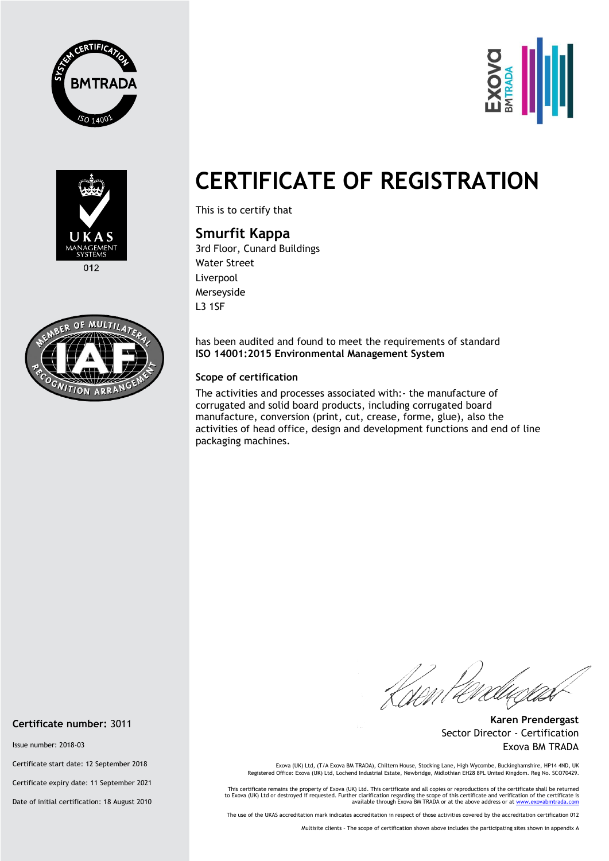





 $012$ 



## **CERTIFICATE OF REGISTRATION**

This is to certify that

## **Smurfit Kappa**

3rd Floor, Cunard Buildings Water Street Liverpool Merseyside L3 1SF

has been audited and found to meet the requirements of standard **ISO 14001:2015 Environmental Management System** 

## **Scope of certification**

The activities and processes associated with:- the manufacture of corrugated and solid board products, including corrugated board manufacture, conversion (print, cut, crease, forme, glue), also the activities of head office, design and development functions and end of line packaging machines.

*Romlere* 

**Karen Prendergast** Sector Director - Certification Exova BM TRADA

Exova (UK) Ltd, (T/A Exova BM TRADA), Chiltern House, Stocking Lane, High Wycombe, Buckinghamshire, HP14 4ND, UK<br>Registered Office: Exova (UK) Ltd, Lochend Industrial Estate, Newbridge, Midlothian EH28 8PL United Kingdom.

This certificate remains the property of Exova (UK) Ltd. This certificate and all copies or reproductions of the certificate shall be returned<br>to Exova (UK) Ltd or destroyed if requested. Further clarification regarding th

The use of the UKAS accreditation mark indicates accreditation in respect of those activities covered by the accreditation certification 012

Multisite clients – The scope of certification shown above includes the participating sites shown in appendix A

**Certificate number:** 3011

Issue number: 2018-03

Certificate start date: 12 September 2018

Certificate expiry date: 11 September 2021

Date of initial certification: 18 August 2010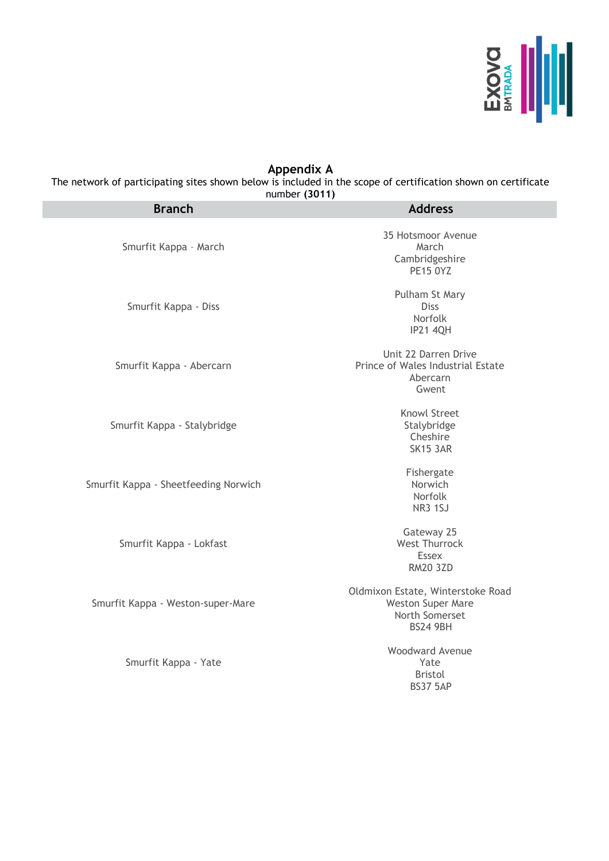

## **Appendix A**

The network of participating sites shown below is included in the scope of certification shown on certificate number **(3011)**

| <b>Branch</b>                        | <b>Address</b>                                                                                     |
|--------------------------------------|----------------------------------------------------------------------------------------------------|
| Smurfit Kappa - March                | 35 Hotsmoor Avenue<br>March<br>Cambridgeshire<br><b>PE15 0YZ</b>                                   |
| Smurfit Kappa - Diss                 | Pulham St Mary<br><b>Diss</b><br>Norfolk<br><b>IP21 4QH</b>                                        |
| Smurfit Kappa - Abercarn             | Unit 22 Darren Drive<br>Prince of Wales Industrial Estate<br>Abercarn<br>Gwent                     |
| Smurfit Kappa - Stalybridge          | Knowl Street<br>Stalybridge<br>Cheshire<br><b>SK15 3AR</b>                                         |
| Smurfit Kappa - Sheetfeeding Norwich | Fishergate<br>Norwich<br>Norfolk<br><b>NR3 1SJ</b>                                                 |
| Smurfit Kappa - Lokfast              | Gateway 25<br><b>West Thurrock</b><br><b>Essex</b><br><b>RM20 3ZD</b>                              |
| Smurfit Kappa - Weston-super-Mare    | Oldmixon Estate, Winterstoke Road<br><b>Weston Super Mare</b><br>North Somerset<br><b>BS24 9BH</b> |
| Smurfit Kappa - Yate                 | <b>Woodward Avenue</b><br>Yate<br><b>Bristol</b><br><b>BS37 5AP</b>                                |
|                                      |                                                                                                    |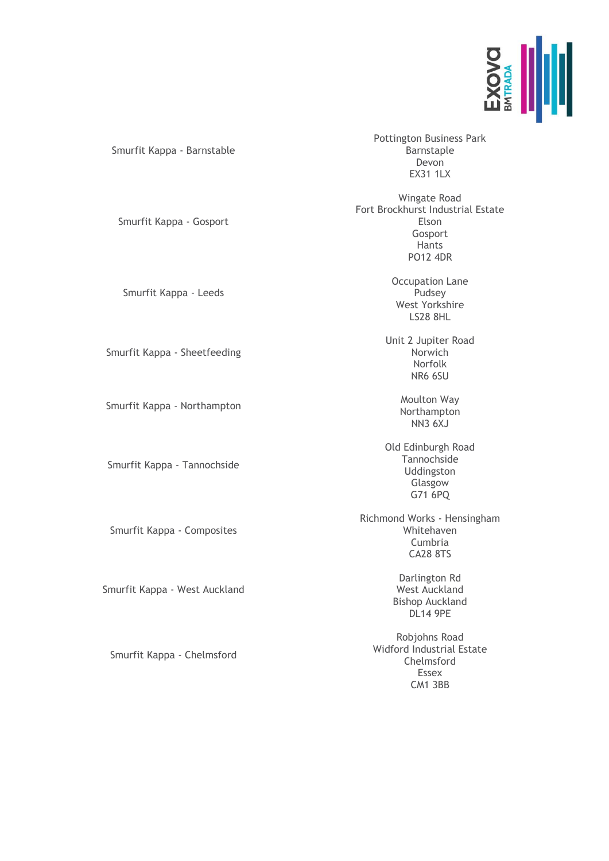

| Smurfit Kappa - Barnstable   | <b>Pottington Business Park</b><br>Barnstaple<br>Devon<br><b>EX31 1LX</b>                         |
|------------------------------|---------------------------------------------------------------------------------------------------|
| Smurfit Kappa - Gosport      | Wingate Road<br>Fort Brockhurst Industrial Estate<br>Elson<br>Gosport<br>Hants<br><b>PO12 4DR</b> |
| Smurfit Kappa - Leeds        | <b>Occupation Lane</b><br>Pudsey<br>West Yorkshire<br><b>LS28 8HL</b>                             |
| Smurfit Kappa - Sheetfeeding | Unit 2 Jupiter Road<br>Norwich<br>Norfolk<br>NR6 6SU                                              |
| Smurfit Kappa - Northampton  | Moulton Way<br>Northampton<br><b>NN3 6XJ</b>                                                      |
| Smurfit Kappa - Tannochside  | Old Edinburgh Road<br>Tannochside<br>Uddingston<br>Glasgow<br>G71 6PQ                             |
| Smurfit Kappa - Composites   | Richmond Works - Hensingham<br>Whitehaven<br>Cumbria<br><b>CA28 8TS</b>                           |
| murfit Kappa - West Auckland | Darlington Rd<br>West Auckland<br><b>Bishop Auckland</b><br><b>DL14 9PE</b>                       |
|                              |                                                                                                   |

Robjohns Road Widford Industrial Estate Chelmsford Essex CM1 3BB

Smurfit Kappa - Chelmsford